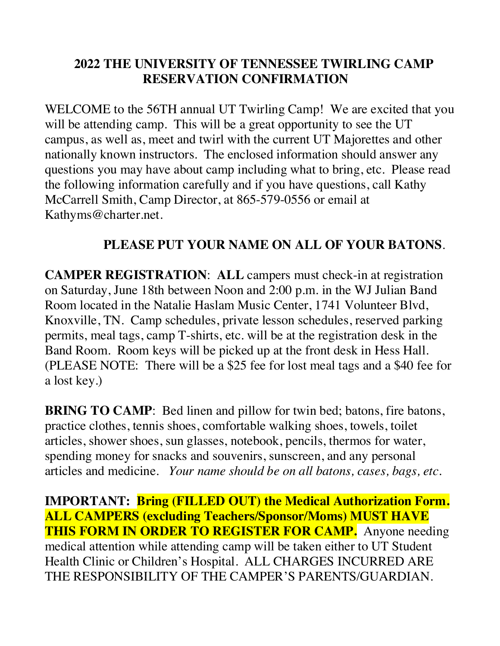## **2022 THE UNIVERSITY OF TENNESSEE TWIRLING CAMP RESERVATION CONFIRMATION**

WELCOME to the 56TH annual UT Twirling Camp! We are excited that you will be attending camp. This will be a great opportunity to see the UT campus, as well as, meet and twirl with the current UT Majorettes and other nationally known instructors. The enclosed information should answer any questions you may have about camp including what to bring, etc. Please read the following information carefully and if you have questions, call Kathy McCarrell Smith, Camp Director, at 865-579-0556 or email at Kathyms@charter.net.

### **PLEASE PUT YOUR NAME ON ALL OF YOUR BATONS**.

**CAMPER REGISTRATION**: **ALL** campers must check-in at registration on Saturday, June 18th between Noon and 2:00 p.m. in the WJ Julian Band Room located in the Natalie Haslam Music Center, 1741 Volunteer Blvd, Knoxville, TN. Camp schedules, private lesson schedules, reserved parking permits, meal tags, camp T-shirts, etc. will be at the registration desk in the Band Room. Room keys will be picked up at the front desk in Hess Hall. (PLEASE NOTE: There will be a \$25 fee for lost meal tags and a \$40 fee for a lost key.)

**BRING TO CAMP:** Bed linen and pillow for twin bed; batons, fire batons, practice clothes, tennis shoes, comfortable walking shoes, towels, toilet articles, shower shoes, sun glasses, notebook, pencils, thermos for water, spending money for snacks and souvenirs, sunscreen, and any personal articles and medicine. *Your name should be on all batons, cases, bags, etc.* 

**IMPORTANT: Bring (FILLED OUT) the Medical Authorization Form. ALL CAMPERS (excluding Teachers/Sponsor/Moms) MUST HAVE THIS FORM IN ORDER TO REGISTER FOR CAMP.** Anyone needing medical attention while attending camp will be taken either to UT Student Health Clinic or Children's Hospital. ALL CHARGES INCURRED ARE THE RESPONSIBILITY OF THE CAMPER'S PARENTS/GUARDIAN.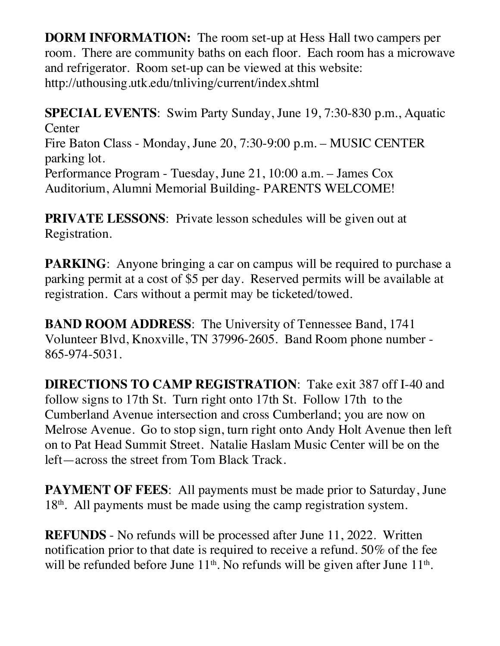**DORM INFORMATION:** The room set-up at Hess Hall two campers per room. There are community baths on each floor. Each room has a microwave and refrigerator. Room set-up can be viewed at this website: http://uthousing.utk.edu/tnliving/current/index.shtml

**SPECIAL EVENTS**: Swim Party Sunday, June 19, 7:30-830 p.m., Aquatic **Center** Fire Baton Class - Monday, June 20, 7:30-9:00 p.m. – MUSIC CENTER parking lot. Performance Program - Tuesday, June 21, 10:00 a.m. – James Cox Auditorium, Alumni Memorial Building- PARENTS WELCOME!

**PRIVATE LESSONS:** Private lesson schedules will be given out at Registration.

**PARKING:** Anyone bringing a car on campus will be required to purchase a parking permit at a cost of \$5 per day. Reserved permits will be available at registration. Cars without a permit may be ticketed/towed.

**BAND ROOM ADDRESS:** The University of Tennessee Band, 1741 Volunteer Blvd, Knoxville, TN 37996-2605. Band Room phone number - 865-974-5031.

**DIRECTIONS TO CAMP REGISTRATION**: Take exit 387 off I-40 and follow signs to 17th St. Turn right onto 17th St. Follow 17th to the Cumberland Avenue intersection and cross Cumberland; you are now on Melrose Avenue. Go to stop sign, turn right onto Andy Holt Avenue then left on to Pat Head Summit Street. Natalie Haslam Music Center will be on the left—across the street from Tom Black Track.

**PAYMENT OF FEES:** All payments must be made prior to Saturday, June 18<sup>th</sup>. All payments must be made using the camp registration system.

**REFUNDS** - No refunds will be processed after June 11, 2022. Written notification prior to that date is required to receive a refund. 50% of the fee will be refunded before June  $11<sup>th</sup>$ . No refunds will be given after June  $11<sup>th</sup>$ .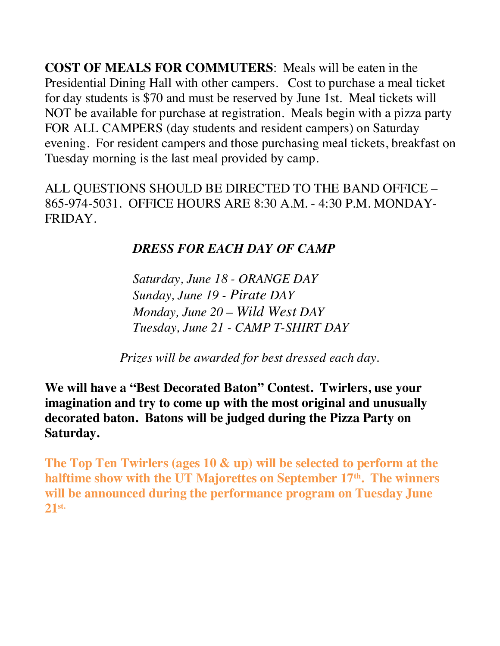**COST OF MEALS FOR COMMUTERS**: Meals will be eaten in the Presidential Dining Hall with other campers. Cost to purchase a meal ticket for day students is \$70 and must be reserved by June 1st. Meal tickets will NOT be available for purchase at registration. Meals begin with a pizza party FOR ALL CAMPERS (day students and resident campers) on Saturday evening. For resident campers and those purchasing meal tickets, breakfast on Tuesday morning is the last meal provided by camp.

ALL QUESTIONS SHOULD BE DIRECTED TO THE BAND OFFICE – 865-974-5031. OFFICE HOURS ARE 8:30 A.M. - 4:30 P.M. MONDAY-FRIDAY.

# *DRESS FOR EACH DAY OF CAMP*

*Saturday, June 18 - ORANGE DAY Sunday, June 19 - Pirate DAY Monday, June 20 – Wild West DAY Tuesday, June 21 - CAMP T-SHIRT DAY*

 *Prizes will be awarded for best dressed each day.*

**We will have a "Best Decorated Baton" Contest. Twirlers, use your imagination and try to come up with the most original and unusually decorated baton. Batons will be judged during the Pizza Party on Saturday.**

**The Top Ten Twirlers (ages 10 & up) will be selected to perform at the**  halftime show with the UT Majorettes on September 17<sup>th</sup>. The winners **will be announced during the performance program on Tuesday June 21st.**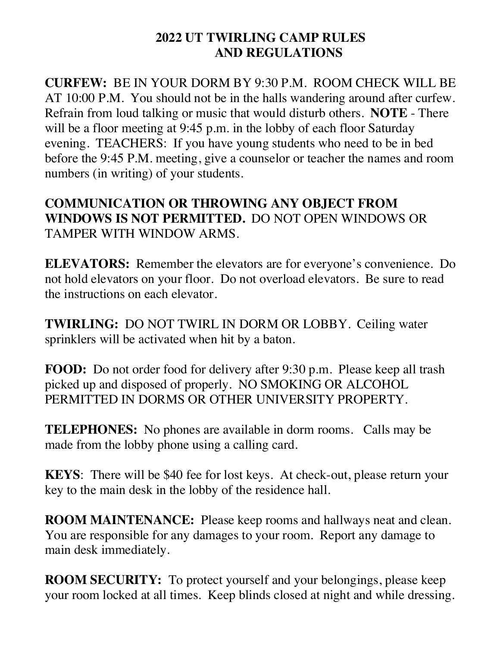### **2022 UT TWIRLING CAMP RULES AND REGULATIONS**

**CURFEW:** BE IN YOUR DORM BY 9:30 P.M. ROOM CHECK WILL BE AT 10:00 P.M. You should not be in the halls wandering around after curfew. Refrain from loud talking or music that would disturb others. **NOTE** - There will be a floor meeting at 9:45 p.m. in the lobby of each floor Saturday evening. TEACHERS: If you have young students who need to be in bed before the 9:45 P.M. meeting, give a counselor or teacher the names and room numbers (in writing) of your students.

**COMMUNICATION OR THROWING ANY OBJECT FROM WINDOWS IS NOT PERMITTED.** DO NOT OPEN WINDOWS OR TAMPER WITH WINDOW ARMS.

**ELEVATORS:** Remember the elevators are for everyone's convenience. Do not hold elevators on your floor. Do not overload elevators. Be sure to read the instructions on each elevator.

**TWIRLING:** DO NOT TWIRL IN DORM OR LOBBY. Ceiling water sprinklers will be activated when hit by a baton.

**FOOD:** Do not order food for delivery after 9:30 p.m. Please keep all trash picked up and disposed of properly. NO SMOKING OR ALCOHOL PERMITTED IN DORMS OR OTHER UNIVERSITY PROPERTY.

**TELEPHONES:** No phones are available in dorm rooms. Calls may be made from the lobby phone using a calling card.

**KEYS**: There will be \$40 fee for lost keys. At check-out, please return your key to the main desk in the lobby of the residence hall.

**ROOM MAINTENANCE:** Please keep rooms and hallways neat and clean. You are responsible for any damages to your room. Report any damage to main desk immediately.

**ROOM SECURITY:** To protect yourself and your belongings, please keep your room locked at all times. Keep blinds closed at night and while dressing.